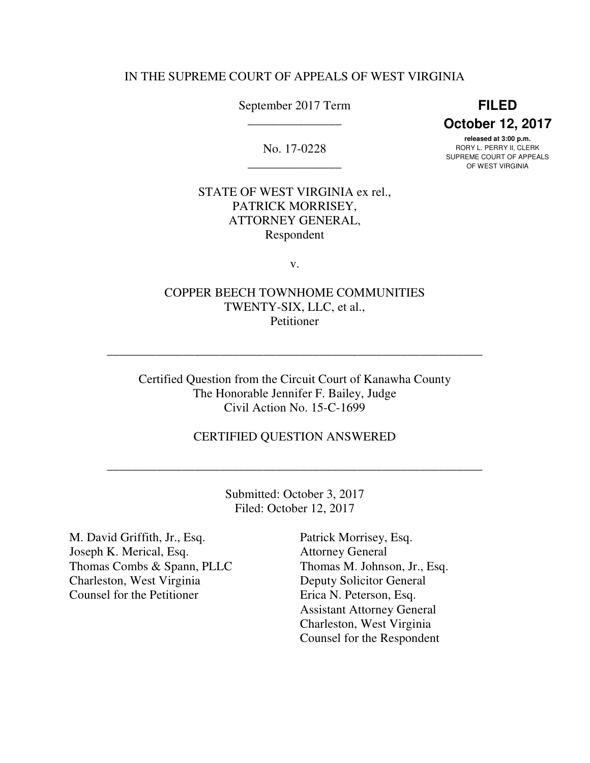### IN THE SUPREME COURT OF APPEALS OF WEST VIRGINIA

September 2017 Term **FILED** 

No. 17-0228

 \_\_\_\_\_\_\_\_\_\_\_\_\_\_\_ **October 12, 2017** 

 **released at 3:00 p.m.**  No. 17-0228 RORY L. PERRY II, CLERK SUPREME COURT OF APPEALS SUP NEWSIGE COUNTRY OF AFT<br>OF WEST VIRGINIA

# STATE OF WEST VIRGINIA ex rel., ATTORNEY GENERAL, PATRICK MORRISEY, Respondent

v.

# COPPER BEECH TOWNHOME COMMUNITIES TWENTY-SIX, LLC, et al., Petitioner

\_\_\_\_\_\_\_\_\_\_\_\_\_\_\_\_\_\_\_\_\_\_\_\_\_\_\_\_\_\_\_\_\_\_\_\_\_\_\_\_\_\_\_\_\_\_\_\_\_\_\_\_\_\_\_\_\_\_\_\_

 Certified Question from the Circuit Court of Kanawha County The Honorable Jennifer F. Bailey, Judge Civil Action No. 15-C-1699

## CERTIFIED QUESTION ANSWERED

 Submitted: October 3, 2017 Filed: October 12, 2017

\_\_\_\_\_\_\_\_\_\_\_\_\_\_\_\_\_\_\_\_\_\_\_\_\_\_\_\_\_\_\_\_\_\_\_\_\_\_\_\_\_\_\_\_\_\_\_\_\_\_\_\_\_\_\_\_\_\_\_\_

 M. David Griffith, Jr., Esq. Patrick Morrisey, Esq. Joseph K. Merical, Esq. Attorney General Thomas Combs & Spann, PLLC Thomas M. Johnson, Jr., Esq. Charleston, West Virginia Counsel for the Petitioner Charleston, West Virginia Deputy Solicitor General Counsel for the Petitioner Erica N. Peterson, Esq.

Patrick Morrisey, Esq. **Attorney General** Thomas M. Johnson, Jr., Esq. Assistant Attorney General Charleston, West Virginia Counsel for the Respondent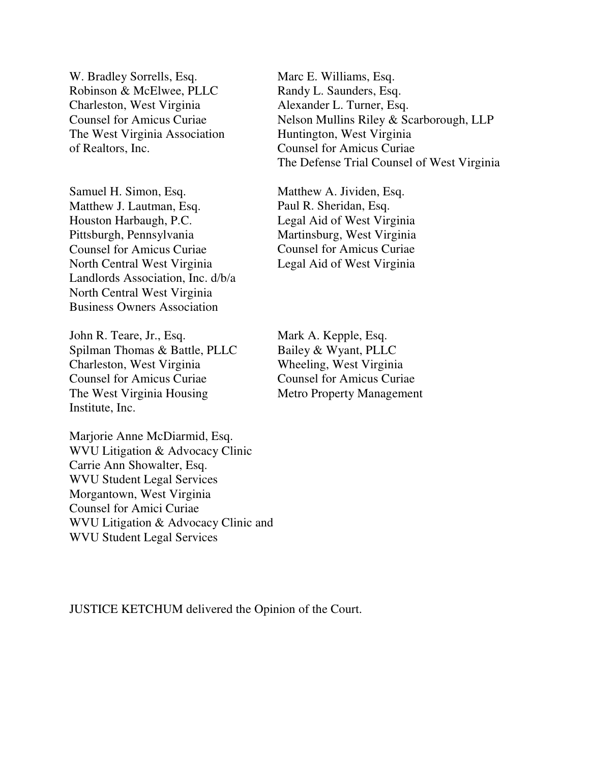W. Bradley Sorrells, Esq. Robinson & McElwee, PLLC Charleston, West Virginia Counsel for Amicus Curiae The West Virginia Association of Realtors, Inc.

 Samuel H. Simon, Esq. Matthew J. Lautman, Esq. Houston Harbaugh, P.C. Pittsburgh, Pennsylvania Pittsburgh, Pennsylvania Counsel for Amicus Curiae North Central West Virginia Landlords Association, Inc. d/b/a North Central West Virginia Business Owners Association

 John R. Teare, Jr., Esq. Spilman Thomas & Battle, PLLC Charleston, West Virginia Counsel for Amicus Curiae The West Virginia Housing Institute, Inc.

 Marjorie Anne McDiarmid, Esq. WVU Litigation & Advocacy Clinic Carrie Ann Showalter, Esq. WVU Student Legal Services Morgantown, West Virginia Counsel for Amici Curiae WVU Litigation & Advocacy Clinic and WVU Student Legal Services

Marc E. Williams, Esq. Randy L. Saunders, Esq. Alexander L. Turner, Esq. Nelson Mullins Riley & Scarborough, LLP Huntington, West Virginia Counsel for Amicus Curiae The Defense Trial Counsel of West Virginia

Matthew A. Jividen, Esq. Paul R. Sheridan, Esq. Legal Aid of West Virginia Martinsburg, West Virginia Counsel for Amicus Curiae Legal Aid of West Virginia

Mark A. Kepple, Esq. Bailey & Wyant, PLLC Wheeling, West Virginia Counsel for Amicus Curiae Metro Property Management

JUSTICE KETCHUM delivered the Opinion of the Court.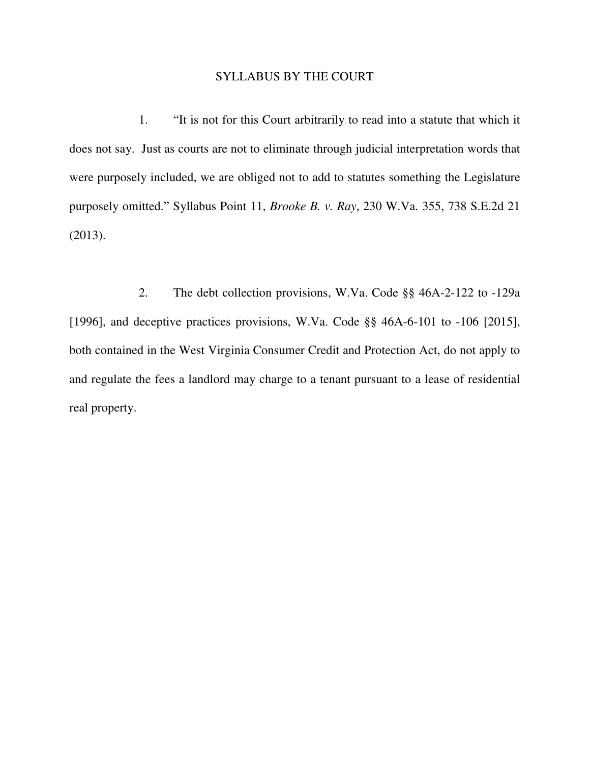### SYLLABUS BY THE COURT

 does not say. Just as courts are not to eliminate through judicial interpretation words that were purposely included, we are obliged not to add to statutes something the Legislature purposely omitted." Syllabus Point 11, *Brooke B. v. Ray*, 230 W.Va. 355, 738 S.E.2d 21 1. "It is not for this Court arbitrarily to read into a statute that which it (2013).

 [1996], and deceptive practices provisions, W.Va. Code §§ 46A-6-101 to -106 [2015], both contained in the West Virginia Consumer Credit and Protection Act, do not apply to and regulate the fees a landlord may charge to a tenant pursuant to a lease of residential real property. 2. The debt collection provisions, W.Va. Code §§ 46A-2-122 to -129a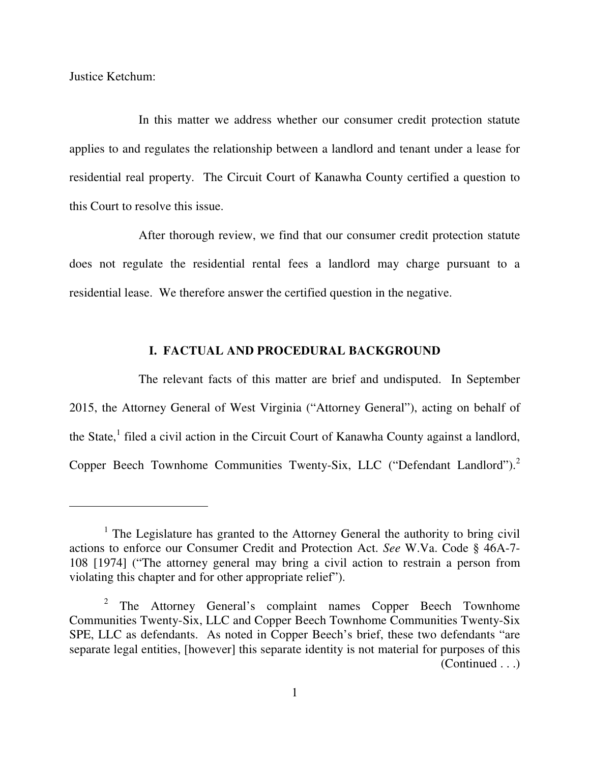Justice Ketchum:

-

 In this matter we address whether our consumer credit protection statute applies to and regulates the relationship between a landlord and tenant under a lease for residential real property. The Circuit Court of Kanawha County certified a question to this Court to resolve this issue.

 After thorough review, we find that our consumer credit protection statute does not regulate the residential rental fees a landlord may charge pursuant to a residential lease. We therefore answer the certified question in the negative.

### **I. FACTUAL AND PROCEDURAL BACKGROUND**

 The relevant facts of this matter are brief and undisputed. In September 2015, the Attorney General of West Virginia ("Attorney General"), acting on behalf of the State,<sup>1</sup> filed a civil action in the Circuit Court of Kanawha County against a landlord, Copper Beech Townhome Communities Twenty-Six, LLC ("Defendant Landlord").<sup>2</sup>

 $1$  The Legislature has granted to the Attorney General the authority to bring civil actions to enforce our Consumer Credit and Protection Act. *See* W.Va. Code § 46A-7 108 [1974] ("The attorney general may bring a civil action to restrain a person from violating this chapter and for other appropriate relief").

 $2$  The Attorney General's complaint names Copper Beech Townhome Communities Twenty-Six, LLC and Copper Beech Townhome Communities Twenty-Six SPE, LLC as defendants. As noted in Copper Beech's brief, these two defendants "are separate legal entities, [however] this separate identity is not material for purposes of this (Continued . . .)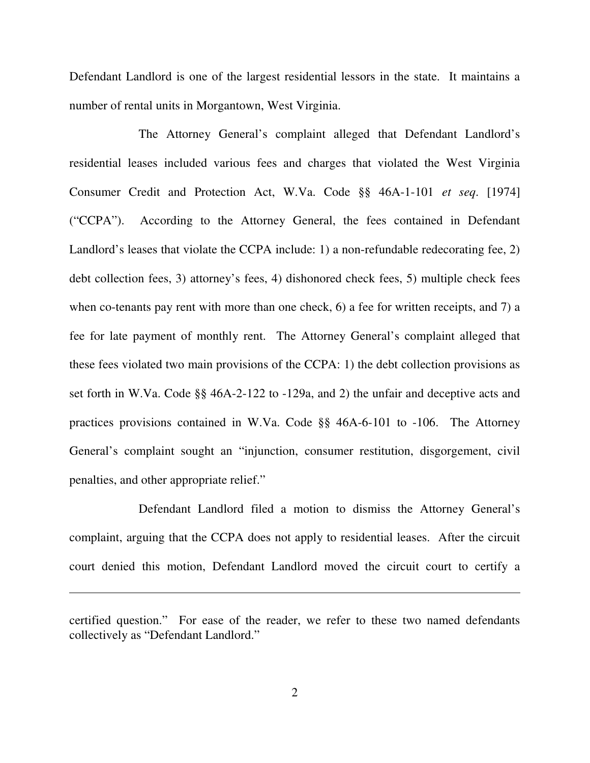Defendant Landlord is one of the largest residential lessors in the state. It maintains a number of rental units in Morgantown, West Virginia.

 The Attorney General's complaint alleged that Defendant Landlord's residential leases included various fees and charges that violated the West Virginia Consumer Credit and Protection Act, W.Va. Code §§ 46A-1-101 *et seq*. [1974] ("CCPA"). According to the Attorney General, the fees contained in Defendant Landlord's leases that violate the CCPA include: 1) a non-refundable redecorating fee, 2) debt collection fees, 3) attorney's fees, 4) dishonored check fees, 5) multiple check fees when co-tenants pay rent with more than one check, 6) a fee for written receipts, and 7) a fee for late payment of monthly rent. The Attorney General's complaint alleged that these fees violated two main provisions of the CCPA: 1) the debt collection provisions as set forth in W.Va. Code §§ 46A-2-122 to -129a, and 2) the unfair and deceptive acts and practices provisions contained in W.Va. Code §§ 46A-6-101 to -106. The Attorney General's complaint sought an "injunction, consumer restitution, disgorgement, civil penalties, and other appropriate relief."

 Defendant Landlord filed a motion to dismiss the Attorney General's complaint, arguing that the CCPA does not apply to residential leases. After the circuit court denied this motion, Defendant Landlord moved the circuit court to certify a

 certified question." For ease of the reader, we refer to these two named defendants collectively as "Defendant Landlord."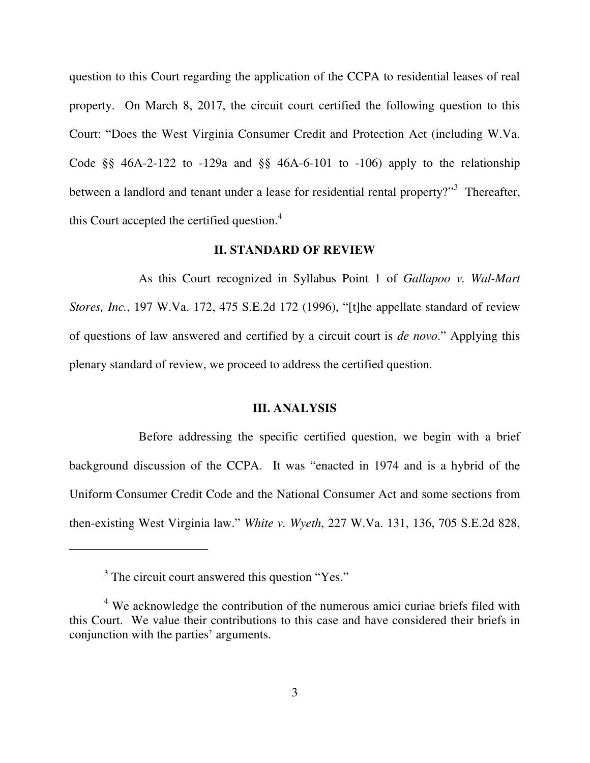question to this Court regarding the application of the CCPA to residential leases of real property. On March 8, 2017, the circuit court certified the following question to this Court: "Does the West Virginia Consumer Credit and Protection Act (including W.Va. Code  $\S$ § 46A-2-122 to -129a and  $\S$ § 46A-6-101 to -106) apply to the relationship between a landlord and tenant under a lease for residential rental property?"<sup>3</sup> Thereafter, this Court accepted the certified question.<sup>4</sup>

### **II. STANDARD OF REVIEW**

 As this Court recognized in Syllabus Point 1 of *Gallapoo v. Wal-Mart Stores, Inc.*, 197 W.Va. 172, 475 S.E.2d 172 (1996), "[t]he appellate standard of review of questions of law answered and certified by a circuit court is *de novo*." Applying this plenary standard of review, we proceed to address the certified question.

## **III. ANALYSIS**

 Before addressing the specific certified question, we begin with a brief background discussion of the CCPA. It was "enacted in 1974 and is a hybrid of the Uniform Consumer Credit Code and the National Consumer Act and some sections from then-existing West Virginia law." *White v. Wyeth*, 227 W.Va. 131, 136, 705 S.E.2d 828,

 $3$  The circuit court answered this question "Yes."

 $4$  We acknowledge the contribution of the numerous amici curiae briefs filed with this Court. We value their contributions to this case and have considered their briefs in conjunction with the parties' arguments.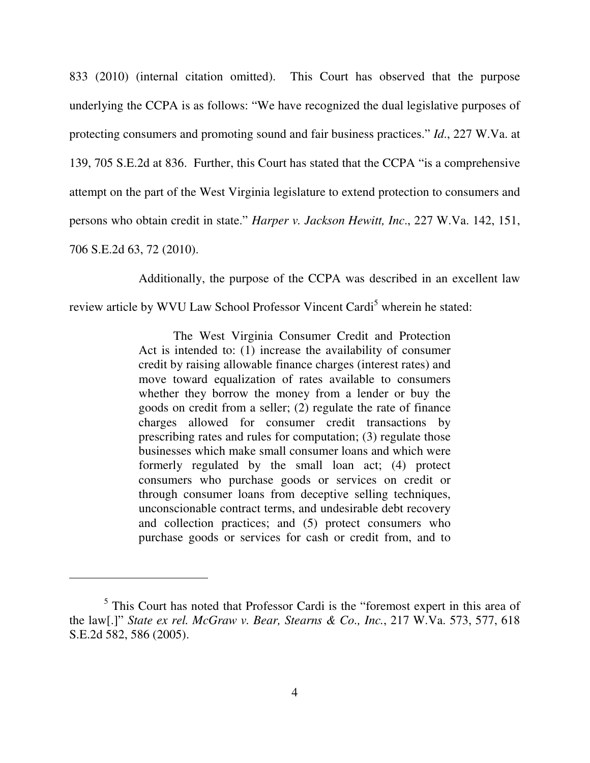833 (2010) (internal citation omitted). This Court has observed that the purpose underlying the CCPA is as follows: "We have recognized the dual legislative purposes of protecting consumers and promoting sound and fair business practices." *Id*., 227 W.Va. at 139, 705 S.E.2d at 836. Further, this Court has stated that the CCPA "is a comprehensive attempt on the part of the West Virginia legislature to extend protection to consumers and persons who obtain credit in state." *Harper v. Jackson Hewitt, Inc*., 227 W.Va. 142, 151, 706 S.E.2d 63, 72 (2010).

Additionally, the purpose of the CCPA was described in an excellent law

review article by WVU Law School Professor Vincent Cardi<sup>5</sup> wherein he stated:

 Act is intended to: (1) increase the availability of consumer credit by raising allowable finance charges (interest rates) and move toward equalization of rates available to consumers whether they borrow the money from a lender or buy the goods on credit from a seller; (2) regulate the rate of finance charges allowed for consumer credit transactions by prescribing rates and rules for computation; (3) regulate those businesses which make small consumer loans and which were formerly regulated by the small loan act; (4) protect consumers who purchase goods or services on credit or through consumer loans from deceptive selling techniques, unconscionable contract terms, and undesirable debt recovery and collection practices; and (5) protect consumers who purchase goods or services for cash or credit from, and to The West Virginia Consumer Credit and Protection

<sup>&</sup>lt;sup>5</sup> This Court has noted that Professor Cardi is the "foremost expert in this area of the law[.]" *State ex rel. McGraw v. Bear, Stearns & Co., Inc.*, 217 W.Va. 573, 577, 618 S.E.2d 582, 586 (2005).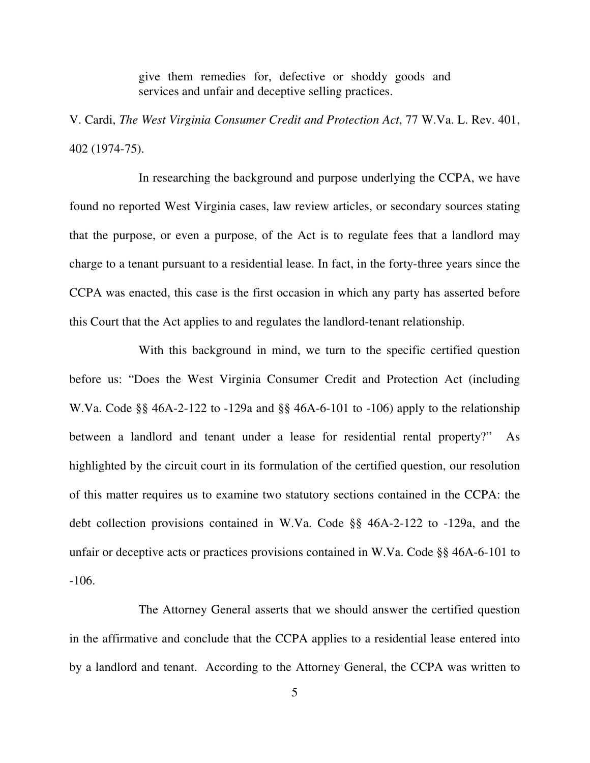give them remedies for, defective or shoddy goods and services and unfair and deceptive selling practices.

 V. Cardi, *The West Virginia Consumer Credit and Protection Act*, 77 W.Va. L. Rev. 401, 402 (1974-75).

 found no reported West Virginia cases, law review articles, or secondary sources stating that the purpose, or even a purpose, of the Act is to regulate fees that a landlord may charge to a tenant pursuant to a residential lease. In fact, in the forty-three years since the CCPA was enacted, this case is the first occasion in which any party has asserted before this Court that the Act applies to and regulates the landlord-tenant relationship. In researching the background and purpose underlying the CCPA, we have

 before us: "Does the West Virginia Consumer Credit and Protection Act (including W.Va. Code §§ 46A-2-122 to -129a and §§ 46A-6-101 to -106) apply to the relationship between a landlord and tenant under a lease for residential rental property?" As highlighted by the circuit court in its formulation of the certified question, our resolution of this matter requires us to examine two statutory sections contained in the CCPA: the debt collection provisions contained in W.Va. Code §§ 46A-2-122 to -129a, and the unfair or deceptive acts or practices provisions contained in W.Va. Code §§ 46A-6-101 to  $-106.$  -106. The Attorney General asserts that we should answer the certified question With this background in mind, we turn to the specific certified question

 in the affirmative and conclude that the CCPA applies to a residential lease entered into by a landlord and tenant. According to the Attorney General, the CCPA was written to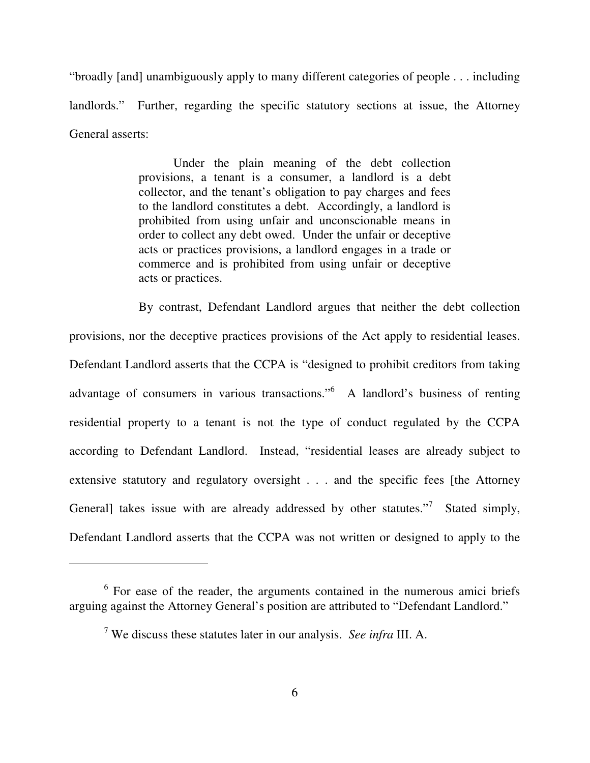"broadly [and] unambiguously apply to many different categories of people . . . including landlords." Further, regarding the specific statutory sections at issue, the Attorney General asserts:

> Under the plain meaning of the debt collection provisions, a tenant is a consumer, a landlord is a debt collector, and the tenant's obligation to pay charges and fees to the landlord constitutes a debt. Accordingly, a landlord is prohibited from using unfair and unconscionable means in order to collect any debt owed. Under the unfair or deceptive acts or practices provisions, a landlord engages in a trade or commerce and is prohibited from using unfair or deceptive acts or practices.

 By contrast, Defendant Landlord argues that neither the debt collection provisions, nor the deceptive practices provisions of the Act apply to residential leases. Defendant Landlord asserts that the CCPA is "designed to prohibit creditors from taking advantage of consumers in various transactions."<sup>6</sup> A landlord's business of renting residential property to a tenant is not the type of conduct regulated by the CCPA according to Defendant Landlord. Instead, "residential leases are already subject to extensive statutory and regulatory oversight . . . and the specific fees [the Attorney General] takes issue with are already addressed by other statutes."<sup>7</sup> Stated simply, Defendant Landlord asserts that the CCPA was not written or designed to apply to the

 $\overline{a}$ 

 $6$  For ease of the reader, the arguments contained in the numerous amici briefs arguing against the Attorney General's position are attributed to "Defendant Landlord."

 7 We discuss these statutes later in our analysis. *See infra* III. A.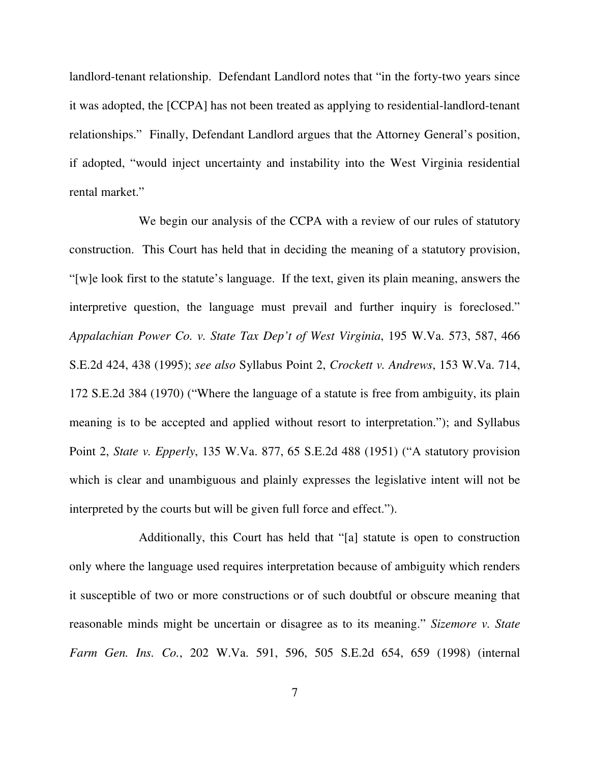landlord-tenant relationship. Defendant Landlord notes that "in the forty-two years since it was adopted, the [CCPA] has not been treated as applying to residential-landlord-tenant relationships." Finally, Defendant Landlord argues that the Attorney General's position, if adopted, "would inject uncertainty and instability into the West Virginia residential rental market."

 We begin our analysis of the CCPA with a review of our rules of statutory construction. This Court has held that in deciding the meaning of a statutory provision, "[w]e look first to the statute's language. If the text, given its plain meaning, answers the interpretive question, the language must prevail and further inquiry is foreclosed."  *Appalachian Power Co. v. State Tax Dep't of West Virginia*, 195 W.Va. 573, 587, 466 S.E.2d 424, 438 (1995); *see also* Syllabus Point 2, *Crockett v. Andrews*, 153 W.Va. 714, 172 S.E.2d 384 (1970) ("Where the language of a statute is free from ambiguity, its plain meaning is to be accepted and applied without resort to interpretation."); and Syllabus Point 2, *State v. Epperly*, 135 W.Va. 877, 65 S.E.2d 488 (1951) ("A statutory provision which is clear and unambiguous and plainly expresses the legislative intent will not be interpreted by the courts but will be given full force and effect.").

 Additionally, this Court has held that "[a] statute is open to construction only where the language used requires interpretation because of ambiguity which renders it susceptible of two or more constructions or of such doubtful or obscure meaning that reasonable minds might be uncertain or disagree as to its meaning." *Sizemore v. State Farm Gen. Ins. Co.*, 202 W.Va. 591, 596, 505 S.E.2d 654, 659 (1998) (internal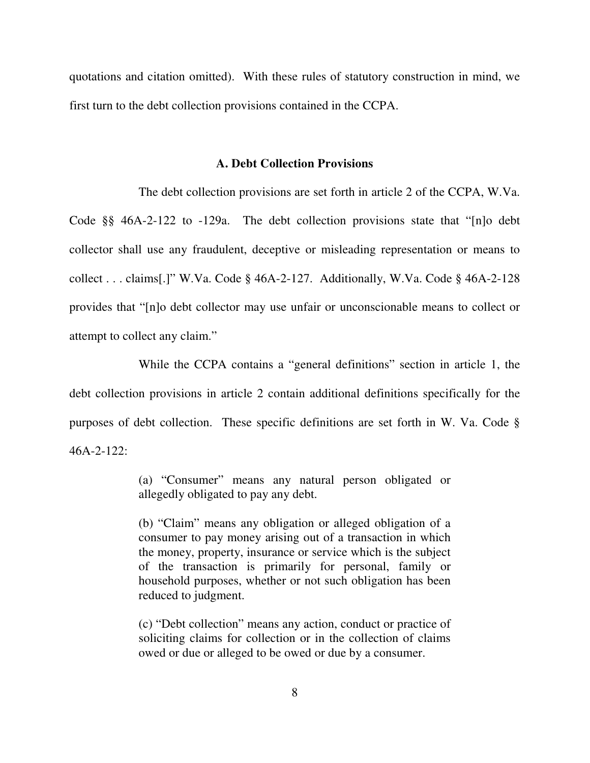quotations and citation omitted). With these rules of statutory construction in mind, we first turn to the debt collection provisions contained in the CCPA.

### **A. Debt Collection Provisions**

 The debt collection provisions are set forth in article 2 of the CCPA, W.Va. Code §§ 46A-2-122 to -129a. The debt collection provisions state that "[n]o debt collector shall use any fraudulent, deceptive or misleading representation or means to collect . . . claims[.]" W.Va. Code § 46A-2-127. Additionally, W.Va. Code § 46A-2-128 provides that "[n]o debt collector may use unfair or unconscionable means to collect or attempt to collect any claim."

 While the CCPA contains a "general definitions" section in article 1, the debt collection provisions in article 2 contain additional definitions specifically for the purposes of debt collection. These specific definitions are set forth in W. Va. Code § 46A-2-122:

> (a) "Consumer" means any natural person obligated or allegedly obligated to pay any debt.

> (b) "Claim" means any obligation or alleged obligation of a consumer to pay money arising out of a transaction in which the money, property, insurance or service which is the subject of the transaction is primarily for personal, family or household purposes, whether or not such obligation has been reduced to judgment.

> (c) "Debt collection" means any action, conduct or practice of soliciting claims for collection or in the collection of claims owed or due or alleged to be owed or due by a consumer.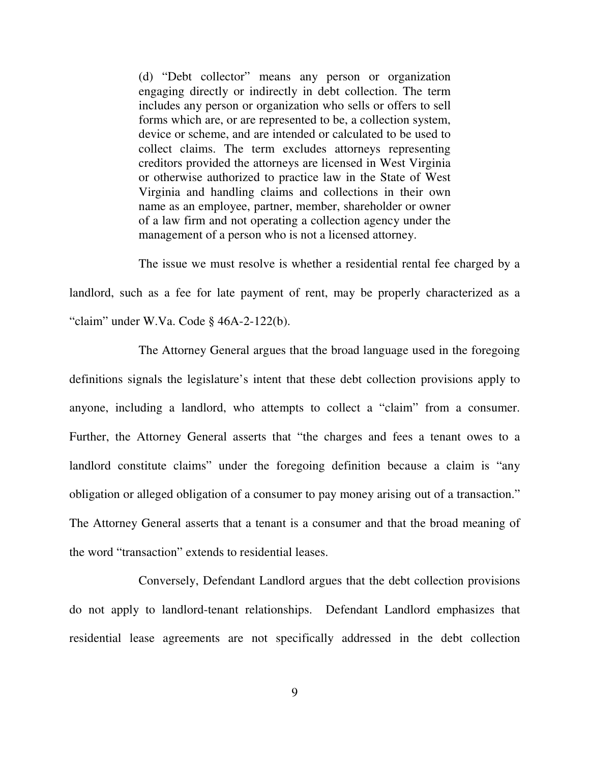(d) "Debt collector" means any person or organization engaging directly or indirectly in debt collection. The term includes any person or organization who sells or offers to sell forms which are, or are represented to be, a collection system, device or scheme, and are intended or calculated to be used to collect claims. The term excludes attorneys representing creditors provided the attorneys are licensed in West Virginia or otherwise authorized to practice law in the State of West Virginia and handling claims and collections in their own name as an employee, partner, member, shareholder or owner of a law firm and not operating a collection agency under the management of a person who is not a licensed attorney.

 The issue we must resolve is whether a residential rental fee charged by a landlord, such as a fee for late payment of rent, may be properly characterized as a "claim" under W.Va. Code § 46A-2-122(b).

 The Attorney General argues that the broad language used in the foregoing definitions signals the legislature's intent that these debt collection provisions apply to anyone, including a landlord, who attempts to collect a "claim" from a consumer. Further, the Attorney General asserts that "the charges and fees a tenant owes to a landlord constitute claims" under the foregoing definition because a claim is "any obligation or alleged obligation of a consumer to pay money arising out of a transaction." The Attorney General asserts that a tenant is a consumer and that the broad meaning of the word "transaction" extends to residential leases.

 Conversely, Defendant Landlord argues that the debt collection provisions do not apply to landlord-tenant relationships. Defendant Landlord emphasizes that residential lease agreements are not specifically addressed in the debt collection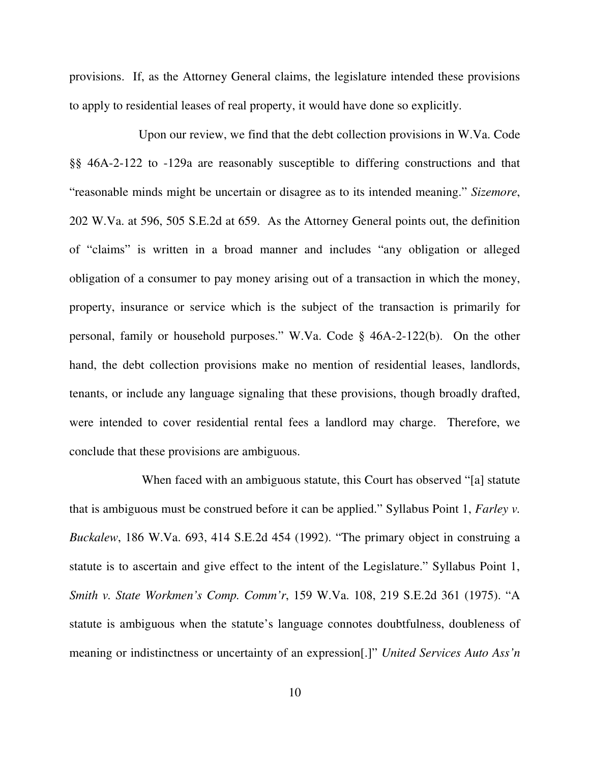provisions. If, as the Attorney General claims, the legislature intended these provisions to apply to residential leases of real property, it would have done so explicitly.

 Upon our review, we find that the debt collection provisions in W.Va. Code §§ 46A-2-122 to -129a are reasonably susceptible to differing constructions and that "reasonable minds might be uncertain or disagree as to its intended meaning." *Sizemore*, 202 W.Va. at 596, 505 S.E.2d at 659. As the Attorney General points out, the definition of "claims" is written in a broad manner and includes "any obligation or alleged obligation of a consumer to pay money arising out of a transaction in which the money, property, insurance or service which is the subject of the transaction is primarily for personal, family or household purposes." W.Va. Code § 46A-2-122(b). On the other hand, the debt collection provisions make no mention of residential leases, landlords, tenants, or include any language signaling that these provisions, though broadly drafted, were intended to cover residential rental fees a landlord may charge. Therefore, we conclude that these provisions are ambiguous.

 When faced with an ambiguous statute, this Court has observed "[a] statute that is ambiguous must be construed before it can be applied." Syllabus Point 1, *Farley v. Buckalew*, 186 W.Va. 693, 414 S.E.2d 454 (1992). "The primary object in construing a statute is to ascertain and give effect to the intent of the Legislature." Syllabus Point 1,  *Smith v. State Workmen's Comp. Comm'r*, 159 W.Va. 108, 219 S.E.2d 361 (1975). "A statute is ambiguous when the statute's language connotes doubtfulness, doubleness of meaning or indistinctness or uncertainty of an expression[.]" *United Services Auto Ass'n*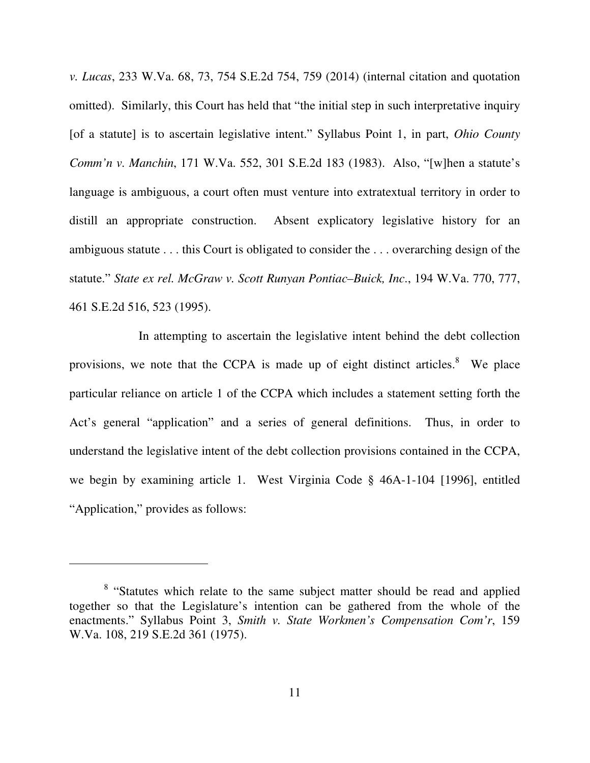*v. Lucas*, 233 W.Va. 68, 73, 754 S.E.2d 754, 759 (2014) (internal citation and quotation omitted). Similarly, this Court has held that "the initial step in such interpretative inquiry [of a statute] is to ascertain legislative intent." Syllabus Point 1, in part, *Ohio County Comm'n v. Manchin*, 171 W.Va. 552, 301 S.E.2d 183 (1983). Also, "[w]hen a statute's language is ambiguous, a court often must venture into extratextual territory in order to distill an appropriate construction. Absent explicatory legislative history for an ambiguous statute . . . this Court is obligated to consider the . . . overarching design of the  statute." *State ex rel. McGraw v. Scott Runyan Pontiac–Buick, Inc*., 194 W.Va. 770, 777, 461 S.E.2d 516, 523 (1995).

 In attempting to ascertain the legislative intent behind the debt collection provisions, we note that the CCPA is made up of eight distinct articles. $8$  We place particular reliance on article 1 of the CCPA which includes a statement setting forth the Act's general "application" and a series of general definitions. Thus, in order to understand the legislative intent of the debt collection provisions contained in the CCPA, we begin by examining article 1. West Virginia Code § 46A-1-104 [1996], entitled "Application," provides as follows:

<sup>&</sup>lt;sup>8</sup> "Statutes which relate to the same subject matter should be read and applied together so that the Legislature's intention can be gathered from the whole of the enactments." Syllabus Point 3, *Smith v. State Workmen's Compensation Com'r*, 159 W.Va. 108, 219 S.E.2d 361 (1975).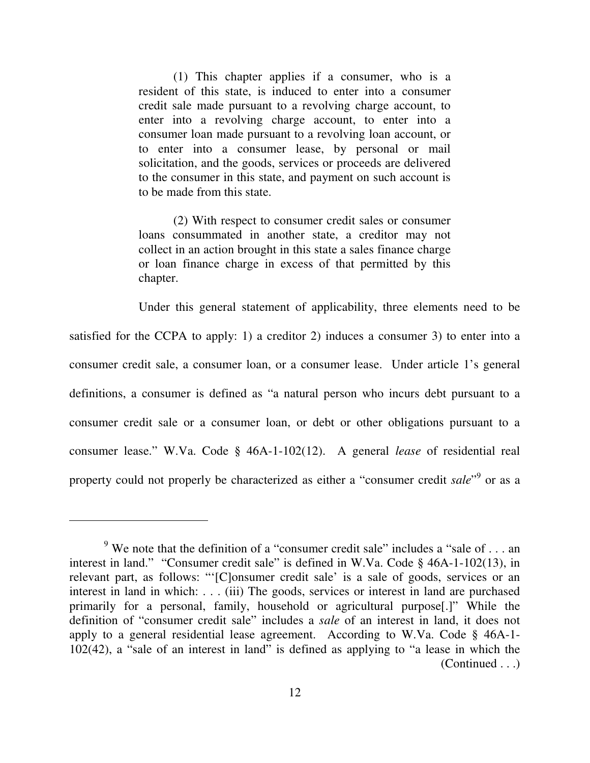resident of this state, is induced to enter into a consumer credit sale made pursuant to a revolving charge account, to enter into a revolving charge account, to enter into a consumer loan made pursuant to a revolving loan account, or to enter into a consumer lease, by personal or mail solicitation, and the goods, services or proceeds are delivered to the consumer in this state, and payment on such account is to be made from this state. (1) This chapter applies if a consumer, who is a

 loans consummated in another state, a creditor may not collect in an action brought in this state a sales finance charge or loan finance charge in excess of that permitted by this (2) With respect to consumer credit sales or consumer chapter.

 Under this general statement of applicability, three elements need to be satisfied for the CCPA to apply: 1) a creditor 2) induces a consumer 3) to enter into a consumer credit sale, a consumer loan, or a consumer lease. Under article 1's general definitions, a consumer is defined as "a natural person who incurs debt pursuant to a consumer credit sale or a consumer loan, or debt or other obligations pursuant to a consumer lease." W.Va. Code § 46A-1-102(12). A general *lease* of residential real property could not properly be characterized as either a "consumer credit *sale*"<sup>9</sup> or as a

 $\overline{a}$ 

<sup>&</sup>lt;sup>9</sup> We note that the definition of a "consumer credit sale" includes a "sale of  $\dots$  an interest in land." "Consumer credit sale" is defined in W.Va. Code § 46A-1-102(13), in relevant part, as follows: "'[C]onsumer credit sale' is a sale of goods, services or an interest in land in which: . . . (iii) The goods, services or interest in land are purchased primarily for a personal, family, household or agricultural purpose[.]" While the definition of "consumer credit sale" includes a *sale* of an interest in land, it does not apply to a general residential lease agreement. According to W.Va. Code § 46A-1 102(42), a "sale of an interest in land" is defined as applying to "a lease in which the (Continued . . .)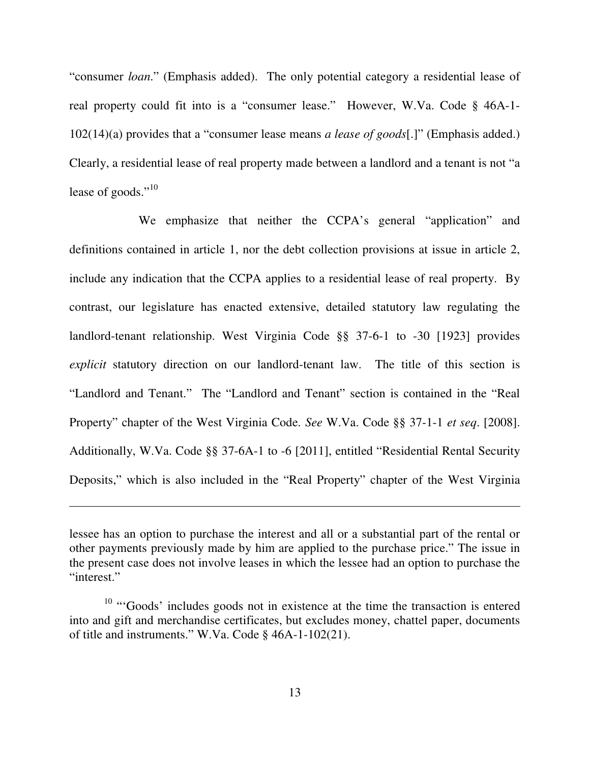"consumer *loan*." (Emphasis added). The only potential category a residential lease of real property could fit into is a "consumer lease." However, W.Va. Code § 46A-1 102(14)(a) provides that a "consumer lease means *a lease of goods*[.]" (Emphasis added.) Clearly, a residential lease of real property made between a landlord and a tenant is not "a lease of goods."<sup>10</sup>

 We emphasize that neither the CCPA's general "application" and definitions contained in article 1, nor the debt collection provisions at issue in article 2, include any indication that the CCPA applies to a residential lease of real property. By contrast, our legislature has enacted extensive, detailed statutory law regulating the landlord-tenant relationship. West Virginia Code §§ 37-6-1 to -30 [1923] provides *explicit* statutory direction on our landlord-tenant law. The title of this section is "Landlord and Tenant." The "Landlord and Tenant" section is contained in the "Real Property" chapter of the West Virginia Code. *See* W.Va. Code §§ 37-1-1 *et seq*. [2008]. Additionally, W.Va. Code §§ 37-6A-1 to -6 [2011], entitled "Residential Rental Security Deposits," which is also included in the "Real Property" chapter of the West Virginia

 $\overline{a}$ 

 lessee has an option to purchase the interest and all or a substantial part of the rental or other payments previously made by him are applied to the purchase price." The issue in the present case does not involve leases in which the lessee had an option to purchase the "interest."

 $10$  "Goods' includes goods not in existence at the time the transaction is entered into and gift and merchandise certificates, but excludes money, chattel paper, documents of title and instruments." W.Va. Code § 46A-1-102(21).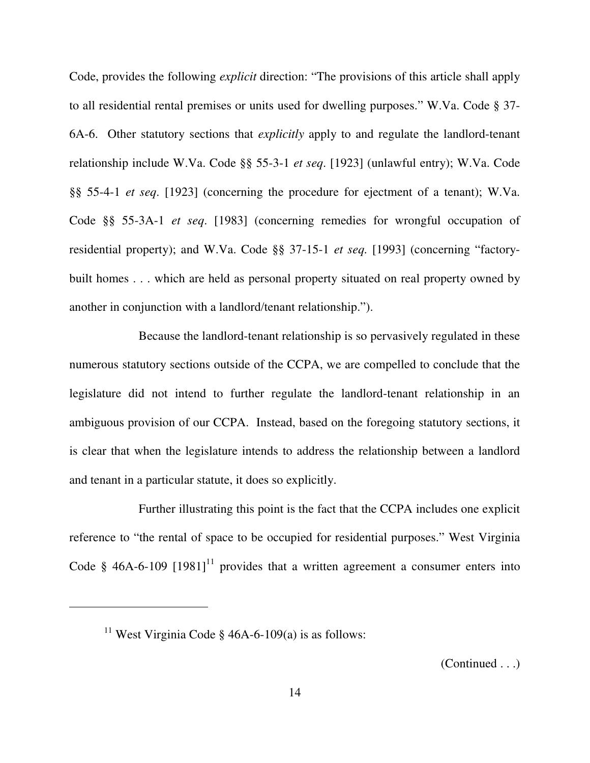Code, provides the following *explicit* direction: "The provisions of this article shall apply to all residential rental premises or units used for dwelling purposes." W.Va. Code § 37 6A-6. Other statutory sections that *explicitly* apply to and regulate the landlord-tenant relationship include W.Va. Code §§ 55-3-1 *et seq*. [1923] (unlawful entry); W.Va. Code §§ 55-4-1 *et seq*. [1923] (concerning the procedure for ejectment of a tenant); W.Va. Code §§ 55-3A-1 *et seq*. [1983] (concerning remedies for wrongful occupation of residential property); and W.Va. Code §§ 37-15-1 *et seq.* [1993] (concerning "factory- built homes . . . which are held as personal property situated on real property owned by another in conjunction with a landlord/tenant relationship.").

 Because the landlord-tenant relationship is so pervasively regulated in these numerous statutory sections outside of the CCPA, we are compelled to conclude that the legislature did not intend to further regulate the landlord-tenant relationship in an ambiguous provision of our CCPA. Instead, based on the foregoing statutory sections, it is clear that when the legislature intends to address the relationship between a landlord and tenant in a particular statute, it does so explicitly.

 Further illustrating this point is the fact that the CCPA includes one explicit reference to "the rental of space to be occupied for residential purposes." West Virginia Code § 46A-6-109  $[1981]$ <sup>11</sup> provides that a written agreement a consumer enters into

 $\overline{a}$ 

(Continued . . .)

<sup>&</sup>lt;sup>11</sup> West Virginia Code § 46A-6-109(a) is as follows: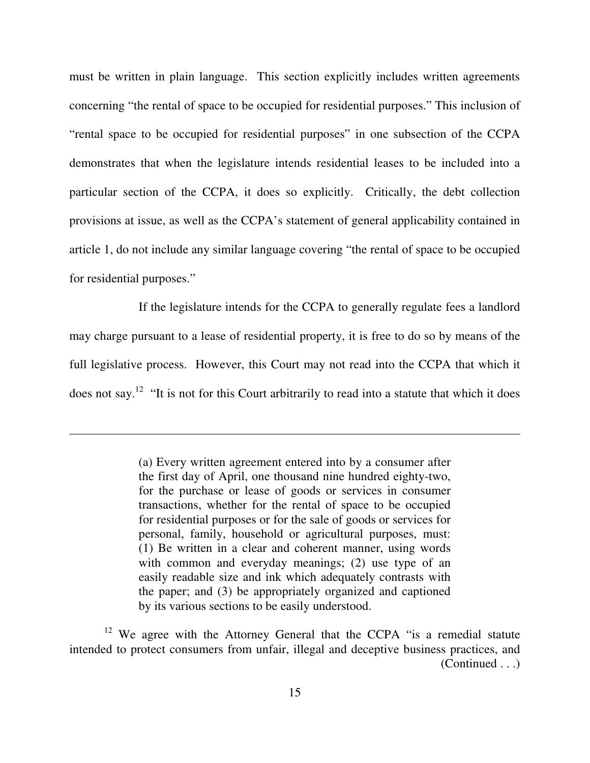must be written in plain language. This section explicitly includes written agreements concerning "the rental of space to be occupied for residential purposes." This inclusion of "rental space to be occupied for residential purposes" in one subsection of the CCPA demonstrates that when the legislature intends residential leases to be included into a particular section of the CCPA, it does so explicitly. Critically, the debt collection provisions at issue, as well as the CCPA's statement of general applicability contained in article 1, do not include any similar language covering "the rental of space to be occupied for residential purposes."

 If the legislature intends for the CCPA to generally regulate fees a landlord may charge pursuant to a lease of residential property, it is free to do so by means of the full legislative process. However, this Court may not read into the CCPA that which it does not say.<sup>12</sup> "It is not for this Court arbitrarily to read into a statute that which it does

 (a) Every written agreement entered into by a consumer after the first day of April, one thousand nine hundred eighty-two, for the purchase or lease of goods or services in consumer transactions, whether for the rental of space to be occupied for residential purposes or for the sale of goods or services for personal, family, household or agricultural purposes, must: (1) Be written in a clear and coherent manner, using words with common and everyday meanings; (2) use type of an easily readable size and ink which adequately contrasts with the paper; and (3) be appropriately organized and captioned by its various sections to be easily understood.

 $12$  We agree with the Attorney General that the CCPA "is a remedial statute intended to protect consumers from unfair, illegal and deceptive business practices, and (Continued . . .)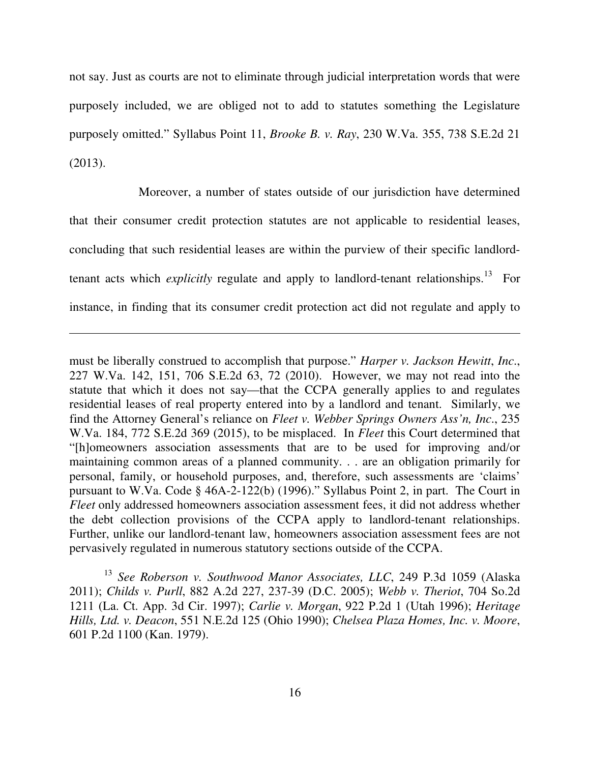not say. Just as courts are not to eliminate through judicial interpretation words that were purposely included, we are obliged not to add to statutes something the Legislature purposely omitted." Syllabus Point 11, *Brooke B. v. Ray*, 230 W.Va. 355, 738 S.E.2d 21  $(2013).$ 

 (2013). Moreover, a number of states outside of our jurisdiction have determined that their consumer credit protection statutes are not applicable to residential leases, concluding that such residential leases are within the purview of their specific landlordtenant acts which *explicitly* regulate and apply to landlord-tenant relationships.<sup>13</sup> For instance, in finding that its consumer credit protection act did not regulate and apply to

 $\overline{a}$ 

 must be liberally construed to accomplish that purpose." *Harper v. Jackson Hewitt*, *Inc*., 227 W.Va. 142, 151, 706 S.E.2d 63, 72 (2010). However, we may not read into the statute that which it does not say—that the CCPA generally applies to and regulates residential leases of real property entered into by a landlord and tenant. Similarly, we find the Attorney General's reliance on *Fleet v. Webber Springs Owners Ass'n, Inc*., 235 W.Va. 184, 772 S.E.2d 369 (2015), to be misplaced. In *Fleet* this Court determined that "[h]omeowners association assessments that are to be used for improving and/or maintaining common areas of a planned community. . . are an obligation primarily for personal, family, or household purposes, and, therefore, such assessments are 'claims' pursuant to W.Va. Code § 46A-2-122(b) (1996)." Syllabus Point 2, in part. The Court in *Fleet* only addressed homeowners association assessment fees, it did not address whether the debt collection provisions of the CCPA apply to landlord-tenant relationships. Further, unlike our landlord-tenant law, homeowners association assessment fees are not pervasively regulated in numerous statutory sections outside of the CCPA.

 <sup>13</sup>*See Roberson v. Southwood Manor Associates, LLC*, 249 P.3d 1059 (Alaska  2011); *Childs v. Purll*, 882 A.2d 227, 237-39 (D.C. 2005); *Webb v. Theriot*, 704 So.2d 1211 (La. Ct. App. 3d Cir. 1997); *Carlie v. Morgan*, 922 P.2d 1 (Utah 1996); *Heritage Hills, Ltd. v. Deacon*, 551 N.E.2d 125 (Ohio 1990); *Chelsea Plaza Homes, Inc. v. Moore*, 601 P.2d 1100 (Kan. 1979).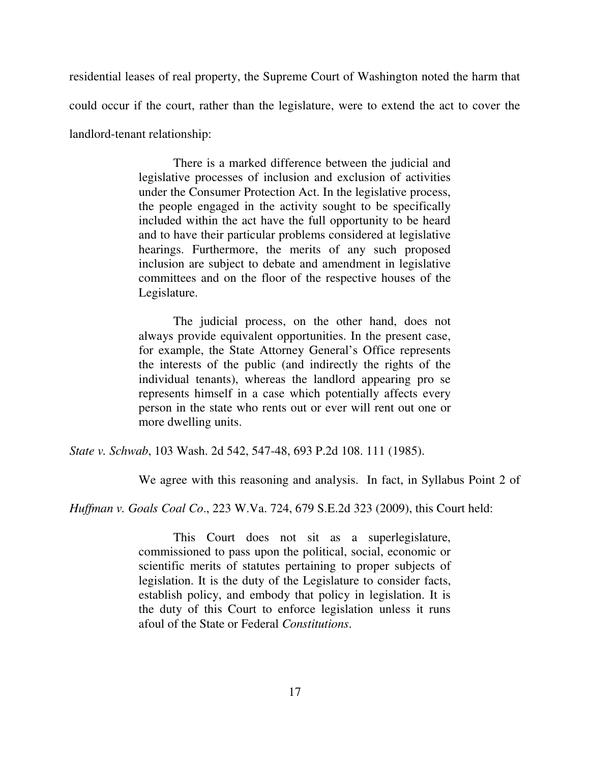residential leases of real property, the Supreme Court of Washington noted the harm that could occur if the court, rather than the legislature, were to extend the act to cover the landlord-tenant relationship:

> legislative processes of inclusion and exclusion of activities under the Consumer Protection Act. In the legislative process, the people engaged in the activity sought to be specifically included within the act have the full opportunity to be heard and to have their particular problems considered at legislative hearings. Furthermore, the merits of any such proposed inclusion are subject to debate and amendment in legislative committees and on the floor of the respective houses of the There is a marked difference between the judicial and Legislature.

> always provide equivalent opportunities. In the present case, for example, the State Attorney General's Office represents the interests of the public (and indirectly the rights of the individual tenants), whereas the landlord appearing pro se represents himself in a case which potentially affects every person in the state who rents out or ever will rent out one or more dwelling units. The judicial process, on the other hand, does not

 *State v. Schwab*, 103 Wash. 2d 542, 547-48, 693 P.2d 108. 111 (1985).

We agree with this reasoning and analysis. In fact, in Syllabus Point 2 of

 *Huffman v. Goals Coal Co*., 223 W.Va. 724, 679 S.E.2d 323 (2009), this Court held:

 commissioned to pass upon the political, social, economic or scientific merits of statutes pertaining to proper subjects of legislation. It is the duty of the Legislature to consider facts, establish policy, and embody that policy in legislation. It is the duty of this Court to enforce legislation unless it runs afoul of the State or Federal *Constitutions*. This Court does not sit as a superlegislature,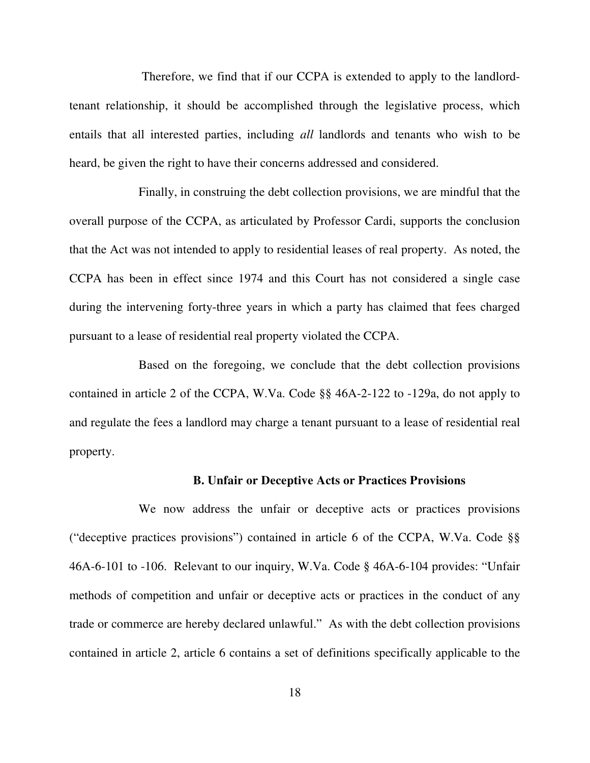Therefore, we find that if our CCPA is extended to apply to the landlord- tenant relationship, it should be accomplished through the legislative process, which entails that all interested parties, including *all* landlords and tenants who wish to be heard, be given the right to have their concerns addressed and considered.

 Finally, in construing the debt collection provisions, we are mindful that the overall purpose of the CCPA, as articulated by Professor Cardi, supports the conclusion that the Act was not intended to apply to residential leases of real property. As noted, the CCPA has been in effect since 1974 and this Court has not considered a single case during the intervening forty-three years in which a party has claimed that fees charged pursuant to a lease of residential real property violated the CCPA.

 Based on the foregoing, we conclude that the debt collection provisions contained in article 2 of the CCPA, W.Va. Code §§ 46A-2-122 to -129a, do not apply to and regulate the fees a landlord may charge a tenant pursuant to a lease of residential real property.

### **B. Unfair or Deceptive Acts or Practices Provisions**

 We now address the unfair or deceptive acts or practices provisions ("deceptive practices provisions") contained in article 6 of the CCPA, W.Va. Code §§ 46A-6-101 to -106. Relevant to our inquiry, W.Va. Code § 46A-6-104 provides: "Unfair methods of competition and unfair or deceptive acts or practices in the conduct of any trade or commerce are hereby declared unlawful." As with the debt collection provisions contained in article 2, article 6 contains a set of definitions specifically applicable to the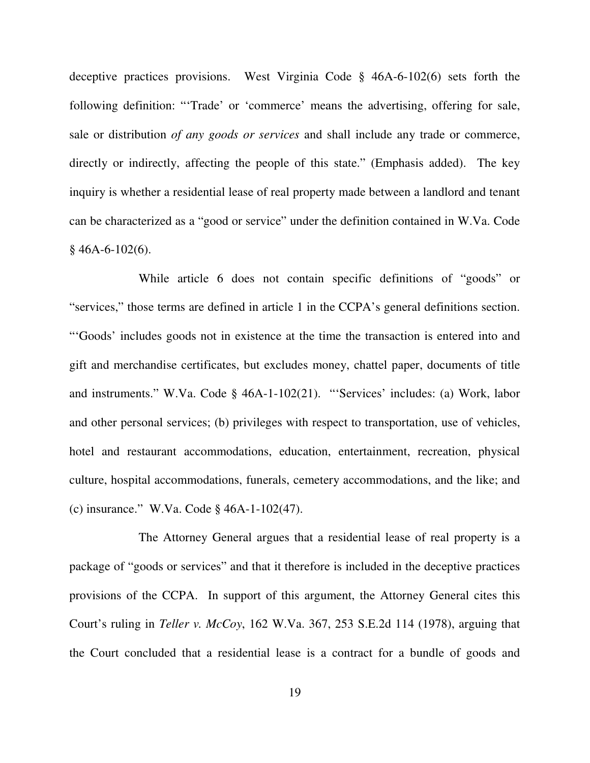deceptive practices provisions. West Virginia Code § 46A-6-102(6) sets forth the following definition: "'Trade' or 'commerce' means the advertising, offering for sale, sale or distribution *of any goods or services* and shall include any trade or commerce, directly or indirectly, affecting the people of this state." (Emphasis added). The key inquiry is whether a residential lease of real property made between a landlord and tenant can be characterized as a "good or service" under the definition contained in W.Va. Code  $§$  46A-6-102(6).

 While article 6 does not contain specific definitions of "goods" or "services," those terms are defined in article 1 in the CCPA's general definitions section. "'Goods' includes goods not in existence at the time the transaction is entered into and gift and merchandise certificates, but excludes money, chattel paper, documents of title and instruments." W.Va. Code § 46A-1-102(21). "'Services' includes: (a) Work, labor and other personal services; (b) privileges with respect to transportation, use of vehicles, hotel and restaurant accommodations, education, entertainment, recreation, physical culture, hospital accommodations, funerals, cemetery accommodations, and the like; and (c) insurance." W.Va. Code § 46A-1-102(47).

 The Attorney General argues that a residential lease of real property is a package of "goods or services" and that it therefore is included in the deceptive practices provisions of the CCPA. In support of this argument, the Attorney General cites this Court's ruling in *Teller v. McCoy*, 162 W.Va. 367, 253 S.E.2d 114 (1978), arguing that the Court concluded that a residential lease is a contract for a bundle of goods and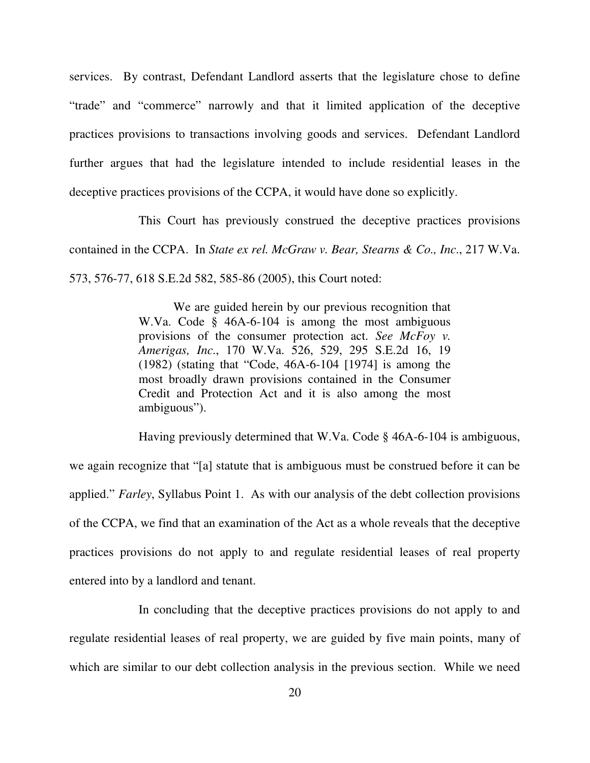services. By contrast, Defendant Landlord asserts that the legislature chose to define "trade" and "commerce" narrowly and that it limited application of the deceptive practices provisions to transactions involving goods and services. Defendant Landlord further argues that had the legislature intended to include residential leases in the deceptive practices provisions of the CCPA, it would have done so explicitly.

 This Court has previously construed the deceptive practices provisions contained in the CCPA. In *State ex rel. McGraw v. Bear, Stearns & Co., Inc*., 217 W.Va. 573, 576-77, 618 S.E.2d 582, 585-86 (2005), this Court noted:

> W.Va. Code § 46A-6-104 is among the most ambiguous provisions of the consumer protection act. *See McFoy v. Amerigas, Inc*., 170 W.Va. 526, 529, 295 S.E.2d 16, 19 (1982) (stating that "Code, 46A-6-104 [1974] is among the most broadly drawn provisions contained in the Consumer Credit and Protection Act and it is also among the most We are guided herein by our previous recognition that ambiguous").

 Having previously determined that W.Va. Code § 46A-6-104 is ambiguous, we again recognize that "[a] statute that is ambiguous must be construed before it can be applied." *Farley*, Syllabus Point 1. As with our analysis of the debt collection provisions of the CCPA, we find that an examination of the Act as a whole reveals that the deceptive practices provisions do not apply to and regulate residential leases of real property entered into by a landlord and tenant.

 In concluding that the deceptive practices provisions do not apply to and regulate residential leases of real property, we are guided by five main points, many of which are similar to our debt collection analysis in the previous section. While we need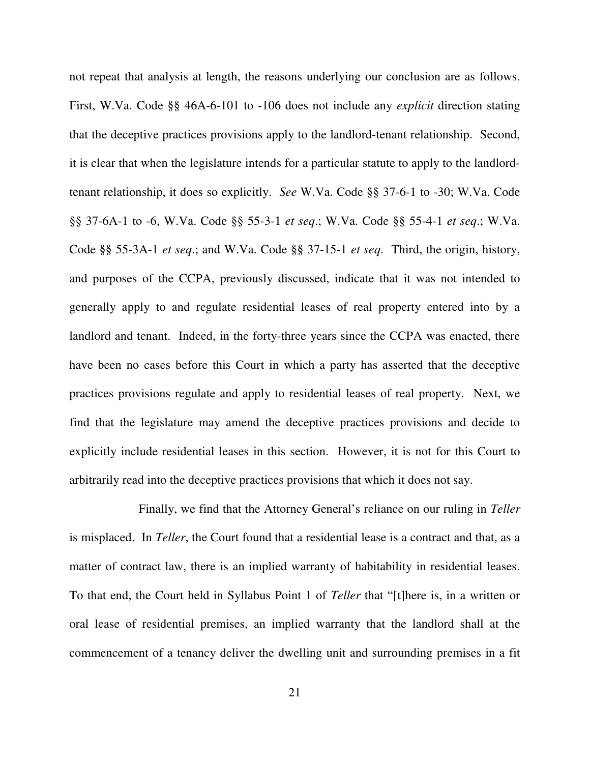not repeat that analysis at length, the reasons underlying our conclusion are as follows. First, W.Va. Code §§ 46A-6-101 to -106 does not include any *explicit* direction stating that the deceptive practices provisions apply to the landlord-tenant relationship. Second, it is clear that when the legislature intends for a particular statute to apply to the landlord- tenant relationship, it does so explicitly. *See* W.Va. Code §§ 37-6-1 to -30; W.Va. Code §§ 37-6A-1 to -6, W.Va. Code §§ 55-3-1 *et seq*.; W.Va. Code §§ 55-4-1 *et seq*.; W.Va. Code §§ 55-3A-1 *et seq*.; and W.Va. Code §§ 37-15-1 *et seq*. Third, the origin, history, and purposes of the CCPA, previously discussed, indicate that it was not intended to generally apply to and regulate residential leases of real property entered into by a landlord and tenant. Indeed, in the forty-three years since the CCPA was enacted, there have been no cases before this Court in which a party has asserted that the deceptive practices provisions regulate and apply to residential leases of real property. Next, we find that the legislature may amend the deceptive practices provisions and decide to explicitly include residential leases in this section. However, it is not for this Court to arbitrarily read into the deceptive practices provisions that which it does not say.

 Finally, we find that the Attorney General's reliance on our ruling in *Teller*  is misplaced. In *Teller*, the Court found that a residential lease is a contract and that, as a matter of contract law, there is an implied warranty of habitability in residential leases. To that end, the Court held in Syllabus Point 1 of *Teller* that "[t]here is, in a written or oral lease of residential premises, an implied warranty that the landlord shall at the commencement of a tenancy deliver the dwelling unit and surrounding premises in a fit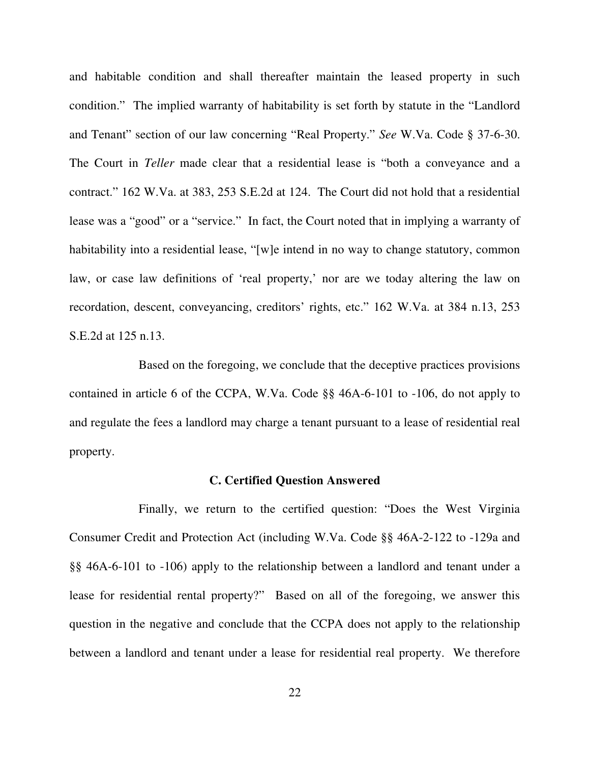and habitable condition and shall thereafter maintain the leased property in such condition." The implied warranty of habitability is set forth by statute in the "Landlord and Tenant" section of our law concerning "Real Property." *See* W.Va. Code § 37-6-30. The Court in *Teller* made clear that a residential lease is "both a conveyance and a contract." 162 W.Va. at 383, 253 S.E.2d at 124. The Court did not hold that a residential lease was a "good" or a "service." In fact, the Court noted that in implying a warranty of habitability into a residential lease, "[w]e intend in no way to change statutory, common law, or case law definitions of 'real property,' nor are we today altering the law on recordation, descent, conveyancing, creditors' rights, etc." 162 W.Va. at 384 n.13, 253 S.E.2d at 125 n.13.

 Based on the foregoing, we conclude that the deceptive practices provisions contained in article 6 of the CCPA, W.Va. Code §§ 46A-6-101 to -106, do not apply to and regulate the fees a landlord may charge a tenant pursuant to a lease of residential real property.

### **C. Certified Question Answered**

 Finally, we return to the certified question: "Does the West Virginia Consumer Credit and Protection Act (including W.Va. Code §§ 46A-2-122 to -129a and §§ 46A-6-101 to -106) apply to the relationship between a landlord and tenant under a lease for residential rental property?" Based on all of the foregoing, we answer this question in the negative and conclude that the CCPA does not apply to the relationship between a landlord and tenant under a lease for residential real property. We therefore